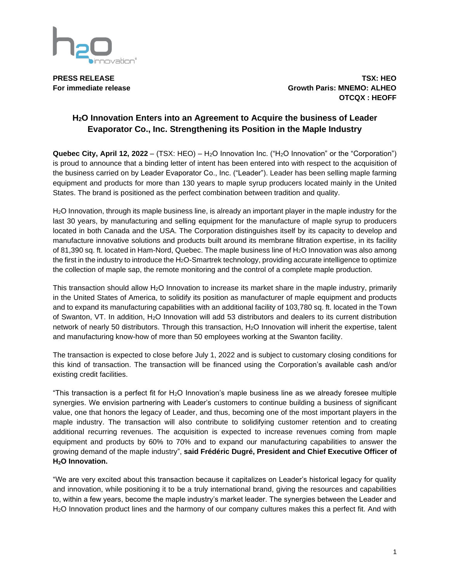

**PRESS RELEASE TSX: HEO For immediate release Growth Paris: MNEMO: ALHEO OTCQX : HEOFF**

## **H2O Innovation Enters into an Agreement to Acquire the business of Leader Evaporator Co., Inc. Strengthening its Position in the Maple Industry**

Quebec City, April 12, 2022 – (TSX: HEO) – H<sub>2</sub>O Innovation Inc. ("H<sub>2</sub>O Innovation" or the "Corporation") is proud to announce that a binding letter of intent has been entered into with respect to the acquisition of the business carried on by Leader Evaporator Co., Inc. ("Leader"). Leader has been selling maple farming equipment and products for more than 130 years to maple syrup producers located mainly in the United States. The brand is positioned as the perfect combination between tradition and quality.

H2O Innovation, through its maple business line, is already an important player in the maple industry for the last 30 years, by manufacturing and selling equipment for the manufacture of maple syrup to producers located in both Canada and the USA. The Corporation distinguishes itself by its capacity to develop and manufacture innovative solutions and products built around its membrane filtration expertise, in its facility of 81,390 sq. ft. located in Ham-Nord, Quebec. The maple business line of H2O Innovation was also among the first in the industry to introduce the H<sub>2</sub>O-Smartrek technology, providing accurate intelligence to optimize the collection of maple sap, the remote monitoring and the control of a complete maple production.

This transaction should allow H<sub>2</sub>O Innovation to increase its market share in the maple industry, primarily in the United States of America, to solidify its position as manufacturer of maple equipment and products and to expand its manufacturing capabilities with an additional facility of 103,780 sq. ft. located in the Town of Swanton, VT. In addition, H2O Innovation will add 53 distributors and dealers to its current distribution network of nearly 50 distributors. Through this transaction, H2O Innovation will inherit the expertise, talent and manufacturing know-how of more than 50 employees working at the Swanton facility.

The transaction is expected to close before July 1, 2022 and is subject to customary closing conditions for this kind of transaction. The transaction will be financed using the Corporation's available cash and/or existing credit facilities.

"This transaction is a perfect fit for H2O Innovation's maple business line as we already foresee multiple synergies. We envision partnering with Leader's customers to continue building a business of significant value, one that honors the legacy of Leader, and thus, becoming one of the most important players in the maple industry. The transaction will also contribute to solidifying customer retention and to creating additional recurring revenues. The acquisition is expected to increase revenues coming from maple equipment and products by 60% to 70% and to expand our manufacturing capabilities to answer the growing demand of the maple industry", **said Frédéric Dugré, President and Chief Executive Officer of H2O Innovation.**

"We are very excited about this transaction because it capitalizes on Leader's historical legacy for quality and innovation, while positioning it to be a truly international brand, giving the resources and capabilities to, within a few years, become the maple industry's market leader. The synergies between the Leader and H<sub>2</sub>O Innovation product lines and the harmony of our company cultures makes this a perfect fit. And with